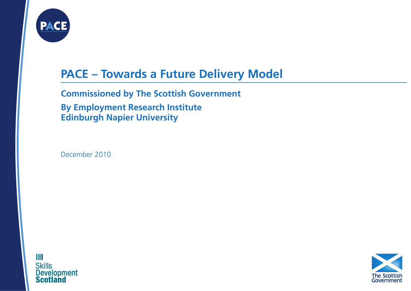

# **PACE – Towards a Future Delivery Model**

**Commissioned by The Scottish Government**

**By Employment Research Institute Edinburgh Napier University**

December 2010

ШI **Skills Development Scotl** 

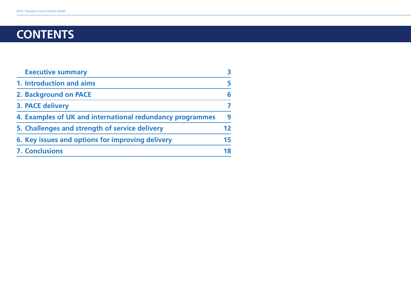# **ContentS**

| <b>Executive summary</b>                                  | 3  |
|-----------------------------------------------------------|----|
| 1. Introduction and aims                                  | 5. |
| 2. Background on PACE                                     | 6  |
| 3. PACE delivery                                          |    |
| 4. Examples of UK and international redundancy programmes | q  |
| 5. Challenges and strength of service delivery            | 12 |
| 6. Key issues and options for improving delivery          | 15 |
| <b>7. Conclusions</b>                                     | 18 |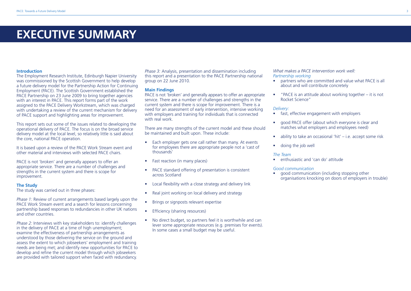# **EXECUTIVE SUMMARY**

#### **Introduction**

The Employment Research Institute, Edinburgh Napier University was commissioned by the Scottish Government to help develop a future delivery model for the Partnership Action for Continuing Employment (PACE). The Scottish Government established the PACE Partnership on 23 June 2009 to bring together agencies with an interest in PACE. This report forms part of the work assigned to the PACE Delivery Workstream, which was charged with undertaking a review of the current mechanism for delivery of PACE support and highlighting areas for improvement.

This report sets out some of the issues related to developing the operational delivery of PACE. The focus is on the broad service delivery model at the local level, so relatively little is said about the core, national PACE operation.

It is based upon a review of the PACE Work Stream event and other material and interviews with selected PACE chairs.

PACE is not 'broken' and generally appears to offer an appropriate service. There are a number of challenges and strengths in the current system and there is scope for improvement.

#### **The Study**

The study was carried out in three phases:

*Phase 1:* Review of current arrangements based largely upon the PACE Work Stream event and a search for lessons concerning partnership based responses to redundancies in other UK nations and other countries.

*Phase 2:* Interviews with key stakeholders to: identify challenges in the delivery of PACE at a time of high unemployment; examine the effectiveness of partnership arrangements as understood by those delivering the service on the ground and assess the extent to which jobseekers' employment and training needs are being met; and identify new opportunities for PACE to develop and refine the current model through which jobseekers are provided with tailored support when faced with redundancy.

*Phase 3:* Analysis, presentation and dissemination including this report and a presentation to the PACE Partnership national group on 22 June 2010.

# **Main Findings**

PACE is not 'broken' and generally appears to offer an appropriate service. There are a number of challenges and strengths in the current system and there is scope for improvement. There is a need for an assessment of early intervention, intensive working with employers and training for individuals that is connected with real work.

There are many strengths of the current model and these should be maintained and built upon. These include:

- Each employer gets one call rather than many. At events for employees there are appropriate people not a 'cast of thousands'
- Fast reaction (in many places)
- PACE standard offering of presentation is consistent across Scotland
- Local flexibility with a close strategy and delivery link
- Real joint working on local delivery and strategy
- Brings or signposts relevant expertise
- Efficiency (sharing resources)
- No direct budget, so partners feel it is worthwhile and can lever some appropriate resources (e.g. premises for events). In some cases a small budget may be useful.

*What makes a PACE intervention work well: Partnership working*

- partners who are committed and value what PACE is all about and will contribute concretely
- "PACE is an attitude about working together  $-$  it is not Rocket Science"

#### *Delivery:*

- fast, effective engagement with employers
- good PACE offer (about which everyone is clear and matches what employers and employees need)
- ability to take an occasional 'hit'  $-$  i.e. accept some risk
- doing the job well

### *The Team*

• enthusiastic and 'can do' attitude

#### *Good communication*

good communication (including stopping other organisations knocking on doors of employers in trouble)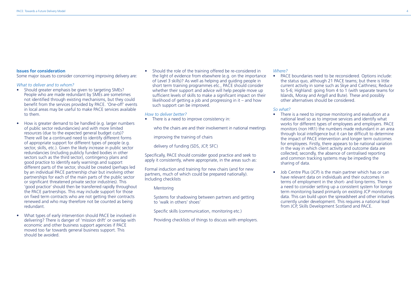# **Issues for consideration**

Some major issues to consider concerning improving delivery are:

# *What to deliver and to whom?*

- Should greater emphasis be given to targeting SMEs? People who are made redundant by SMEs are sometimes not identified through existing mechanisms, but they could benefit from the services provided by PACE. 'One-off' events in local areas may be useful to make PACE services available to them.
- How is greater demand to be handled (e.g. larger numbers of public sector redundancies) and with more limited resources (due to the expected general budget cuts)? There will be a continued need to identify different forms of appropriate support for different types of people (e.g. sector, skills, etc.). Given the likely increase in public sector redundancies (including publicly funded bodies in other sectors such as the third sector), contingency plans and good practice to identify early warnings and support different parts of the sector, should be created (perhaps led by an individual PACE partnership chair but involving other partnerships for each of the main parts of the public sector or significant threatened private sector industries). This 'good practice' should then be transferred rapidly throughout the PACE partnerships. This may include support for those on fixed term contracts who are not getting their contracts renewed and who may therefore not be counted as being redundant.
- What types of early intervention should PACE be involved in delivering? There is danger of 'mission drift' or overlap with economic and other business support agencies if PACE moved too far towards general business support. This should be avoided.

• Should the role of the training offered be re-considered in the light of evidence from elsewhere (e.g. on the importance of Level 3 skills)? As well as helping and guiding people in short term training programmes etc., PACE should consider whether their support and advice will help people move up sufficient levels of skills to make a significant impact on their likelihood of getting a job and progressing in it – and how such support can be improved.

#### *How to deliver better?*

• There is a need to improve consistency in:

who the chairs are and their involvement in national meetings

improving the training of chairs

delivery of funding (SDS, JCP, SFC)

Specifically, PACE should consider good practice and seek to apply it consistently, where appropriate, in the areas such as:

Formal induction and training for new chairs (and for new partners, much of which could be prepared nationally). Including checklists

#### Mentoring

Systems for shadowing between partners and getting to 'walk in others' shoes'

Specific skills (communication, monitoring etc.)

Providing checklists of things to discuss with employers.

#### *Where?*

• PACE boundaries need to be reconsidered. Options include: the status quo, although 21 PACE teams; but there is little current activity in some such as Skye and Caithness; Reduce to 5-6; Highland: going from 4 to 1 (with separate teams for Islands, Moray and Argyll and Bute). These and possibly other alternatives should be considered.

# *So what?*

- There is a need to improve monitoring and evaluation at a national level so as to improve services and identify what works for different types of employees and employers. PACE monitors (non HR1) the numbers made redundant in an area through local intelligence but it can be difficult to determine the impact of PACE intervention and longer term outcomes for employees. Firstly, there appears to be national variation in the way in which client activity and outcome data are collected; secondly, the absence of centralised reporting and common tracking systems may be impeding the sharing of data.
- Job Centre Plus (JCP) is the main partner which has or can have relevant data on individuals and their outcomes in terms of employment in the short- and long-terms. There is a need to consider setting up a consistent system for longer term monitoring based primarily on existing JCP monitoring data. This can build upon the spreadsheet and other initiatives currently under development. This requires a national lead from JCP, Skills Development Scotland and PACE.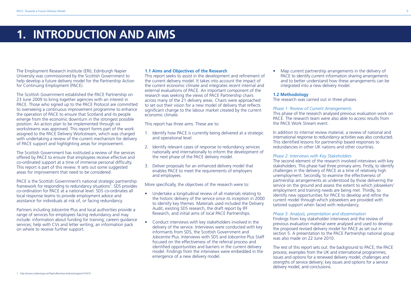# **1. INTRODUCTION AND AIMS**

The Employment Research Institute (ERI), Edinburgh Napier University was commissioned by the Scottish Government to help develop a future delivery model for the Partnership Action for Continuing Employment (PACE).

The Scottish Government established the PACE Partnership on 23 June 2009 to bring together agencies with an interest in PACE. Those who signed up to the PACE Protocol are committed to overseeing a continuous improvement programme to enhance the operation of PACE to ensure that Scotland and its people emerge from the economic downturn in the strongest possible position. An action plan to be implemented through six workstreams was approved. This report forms part of the work assigned to the PACE Delivery Workstream, which was charged with undertaking a review of the current mechanism for delivery of PACE support and highlighting areas for improvement.

The Scottish Government has instituted a review of the services offered by PACE to ensure that employees receive effective and co-ordinated support at a time of immense personal difficulty. This report is part of this review. It sets out some suggested areas for improvement that need to be considered.

PACE is the Scottish Government's national strategic partnership framework for responding to redundancy situations<sup>1</sup>. SDS provides co-ordination for PACE at a national level. SDS co-ordinates all local response teams to provide employment advice and assistance for individuals at risk of, or facing redundancy.

Partners including Jobcentre Plus and local authorities provide a range of services for employees facing redundancy and may include: information about funding for training; careers guidance services; help with CVs and letter writing; an information pack on where to receive further support.

### **1.1 Aims and Objectives of the Research**

This report seeks to assist in the development and refinement of the current delivery model. It takes into account the impact of the current economic climate and integrates recent internal and external evaluations of PACE. An important component of the research was seeking the views of PACE Partnership chairs across many of the 21 delivery areas. Chairs were approached to set out their vision for a new model of delivery that reflects significant change to the labour market created by the current economic climate.

This report has three aims. These are to:

- 1. Identify how PACE is currently being delivered at a strategic and operational level.
- 2. Identify relevant cases of response to redundancy services nationally and internationally to inform the development of the next phase of the PACE delivery model.
- 3. Deliver proposals for an enhanced delivery model that enables PACE to meet the requirements of employers and employees.

More specifically, the objectives of the research were to:

- Undertake a longitudinal review of all materials relating to the historic delivery of the service since its inception in 2000 to identify key themes. Materials used included the Delivery Audit, existing SDS research, the draft report by IFF Research, and initial aims of local PACE Partnerships.
- Conduct interviews with key stakeholders involved in the delivery of the service. Interviews were conducted with key informants from SDS, the Scottish Government and Jobcentre Plus. Interviews with SDS and Jobcentre Plus Staff focused on the effectiveness of the referral process and identified opportunities and barriers in the current delivery model. Findings from the interviews were embedded in the emergence of a new delivery model.

• Map current partnership arrangements in the delivery of PACE to identify current information sharing arrangements and to better understand how these arrangements can be integrated into a new delivery model.

#### **1.2 Methodology**

The research was carried out in three phases.

## *Phase 1: Review of Current Arrangements*

This phase of the research analysed previous evaluation work on PACE. The research team were also able to access results from the PACE Work Stream event.

In addition to internal review material, a review of national and international response to redundancy activities was also conducted. This identified lessons for partnership based responses to redundancies in other UK nations and other countries.

### *Phase 2: Interviews with Key Stakeholders*

The second element of the research involved interviews with key stakeholders. This phase had three primary aims. Firstly, to identify challenges in the delivery of PACE at a time of relatively high unemployment. Secondly, to examine the effectiveness of partnership arrangements as understood by those delivering the service on the ground and assess the extent to which jobseekers' employment and training needs are being met. Thirdly, to identify new opportunities for PACE to develop and refine the current model through which jobseekers are provided with tailored support when faced with redundancy.

### *Phase 3: Analysis, presentation and dissemination*

Findings from key stakeholder interviews and the review of previous evaluation material were analysed and used to develop the proposed revised delivery model for PACE as set out in section 5. A presentation to the PACE Partnership national group was also made on 22 June 2010.

The rest of this report sets out: the background to PACE; the PACE process; examples from the UK and international programmes; issues and options for a renewed delivery model; challenges and strengths of service delivery; key issues and options for a service delivery model; and conclusions.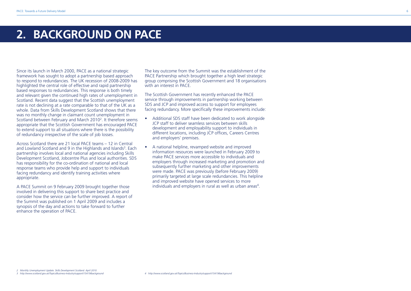# **2. BACKGROUND ON PACE**

Since its launch in March 2000, PACE as a national strategic framework has sought to adopt a partnership based approach to respond to redundancies. The UK recession of 2008-2009 has highlighted the central role of effective and rapid partnership based responses to redundancies. This response is both timely and relevant given the continued high rates of unemployment in Scotland. Recent data suggest that the Scottish unemployment rate is not declining at a rate comparable to that of the UK as a whole. Data from Skills Development Scotland shows that there was no monthly change in claimant count unemployment in Scotland between February and March 20102. It therefore seems appropriate that the Scottish Government has encouraged PACE to extend support to all situations where there is the possibility of redundancy irrespective of the scale of job losses.

Across Scotland there are 21 local PACE teams – 12 in Central and Lowland Scotland and 9 in the Highlands and Islands<sup>3</sup>. Each partnership involves local and national agencies including Skills Development Scotland, Jobcentre Plus and local authorities. SDS has responsibility for the co-ordination of national and local response teams who provide help and support to individuals facing redundancy and identify training activities where appropriate.

A PACE Summit on 9 February 2009 brought together those involved in delivering this support to share best practice and consider how the service can be further improved. A report of the Summit was published on 1 April 2009 and includes a synopsis of the day and actions to take forward to further enhance the operation of PACE.

The key outcome from the Summit was the establishment of the PACE Partnership which brought together a high level strategic group comprising the Scottish Government and 18 organisations with an interest in PACE.

The Scottish Government has recently enhanced the PACE service through improvements in partnership working between SDS and JCP and improved access to support for employees facing redundancy. More specifically these improvements include:

- Additional SDS staff have been dedicated to work alongside JCP staff to deliver seamless services between skills development and employability support to individuals in different locations, including JCP offices, Careers Centres and employers' premises.
- • A national helpline, revamped website and improved information resources were launched in February 2009 to make PACE services more accessible to individuals and employers through increased marketing and promotion and subsequently further marketing and other improvements were made. PACE was previously (before February 2009) primarily targeted at large scale redundancies. This helpline and improved website have opened services to more individuals and employers in rural as well as urban areas<sup>4</sup>.

*2 Monthly Unemployment Update. Skills Development Scotland. April 2010.*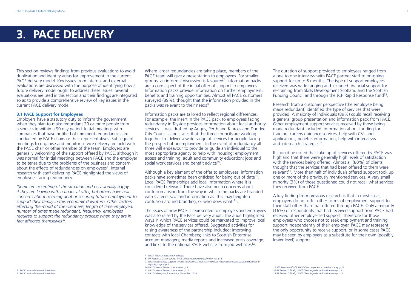# **3. PACE DELIVERY**

This section reviews findings from previous evaluations to avoid duplication and identify areas for improvement in the current PACE delivery model. Key issues from internal and external evaluations are discussed with the purpose of identifying how a future delivery model ought to address these issues. Several evaluations are used in this section and their findings are integrated so as to provide a comprehensive review of key issues in the current PACE delivery model.

#### **3.1 PACE Support for Employees**

Employers have a statutory duty to inform the government when they plan to make redundant 20 or more people from a single site within a 90 day period. Initial meetings with companies that have notified of imminent redundancies are conducted by PACE chairs or their representatives. Subsequent meetings to organise and monitor service delivery are held with the PACE chair or other member of the team. Employers are generally welcoming of the support offered by PACE, although it was normal for initial meetings between PACE and the employer to be tense due to the problems of the business and concern about the effects of redundancies on employees<sup>5</sup>. Internal research with staff delivering PACE highlighted the views of employees facing redundancy:

*'Some are accepting of the situation and occasionally happy if they are leaving with a financial offer, but others have real concerns about accruing debt or securing future employment to support their family in this economic downturn. Other factors affecting the mood of the client are; length of time employed, number of times made redundant, frequency, employees required to support the redundancy process when they are in fact affected themselves'6.*

Where larger redundancies are taking place, members of the PACE team will give a presentation to employees. For smaller groups, an informal discussion is favoured7. Information packs are a core aspect of the initial offer of support to employees. Information packs provide information on further employment, benefits and training opportunities. Almost all PACE customers surveyed (89%), thought that the information provided in the packs was relevant to their needs<sup>8</sup>

Information packs are tailored to reflect regional differences. For example, the insert in the PACE pack to employees facing redundancy in Tayside provides information about local authority services. It was drafted by Angus, Perth and Kinross and Dundee City Councils and states that the three councils are working together to 'deliver a wide range of services for people facing the prospect of unemployment. In the event of redundancy all three will endeavour to provide or guide an individual to the most appropriate agency to help with: housing; employment access and training; adult and community education; jobs and social work services and benefit advice'9.

Although a key element of the offer to employees, information packs have sometimes been criticised for being out of date<sup>10</sup>. Local PACE Partnerships add local information where it is considered relevant. There have also been concerns about confusion arising from the way in which the packs are branded with Careers Scotland information as 'this may heighten confusion around branding, or who does what'11.

The issues of how PACE is represented to employers and employees was also raised by the Pace delivery audit. The audit highlighted ways in which PACE services could be marketed to improve local knowledge of the services offered. Suggested activities for raising awareness of the partnership included: improving contacts with local Chambers; links to Scottish Enterprise account managers; media reports and increased press coverage; and links to the national PACE website from job websites<sup>12</sup>.

*7 PACE: Internal Research Interviews 8 IFF Research (2010) (draft). PACE Client experience baseline survey. p13*

*12 PACE Delivery audit summary. November 2009* 

The duration of support provided to employees ranged from a one to one interview with PACE partner staff to on-going support for up to 6 months. The type of support employees received was wide ranging and included financial support for re-training from Skills Development Scotland and the Scottish Funding Council and through the JCP Rapid Response fund13.

Research from a customer perspective (the employee being made redundant) identified the type of services that were provided. A majority of individuals (89%) could recall receiving a general group presentation and information pack from PACE. Other employment support services received by those being made redundant included: information about funding for training; careers guidance services; help with CVs and applications; benefits information; help with interviews and job search strategies<sup>14</sup>.

It should be noted that take up of services offered by PACE was high and that there were generally high levels of satisfaction with the services being offered. Almost all (80%) of clients thought that the services that had been offered to them were relevant<sup>15</sup>. More than half of individuals offered support took up one or more of the previously mentioned services. A very small minority (3%) of those questioned could not recall what services they received from PACE.

A key finding from previous research is that in most cases, employers do not offer other forms of employment support to their staff other than that offered through PACE. Only a minority (16%) of respondents that had received support from PACE had received other employer led support. Therefore for those employees who choose not to seek employment and training support independently of their employer, PACE may represent the only opportunity to receive support, or in some cases PACE may be seen by employers as a substitute for their own (possibly lower level) support.

*13 IFF Research (draft). PACE Client experience baseline survey. p.11 14 IFF Research (draft). PACE Client experience baseline survey. p.11 15 IFF Research (draft). PACE Client experience baseline survey. p13*

*<sup>9</sup> PACE Redundancy support Tayside. Available at: http://www.skillsdevelopmentscotland.co.uk/media/99156/*

*tayside\_support.pdf*

*<sup>10</sup> PACE Internal Research Interviews. p.3 11 PACE Internal Research Interviews. p. 3*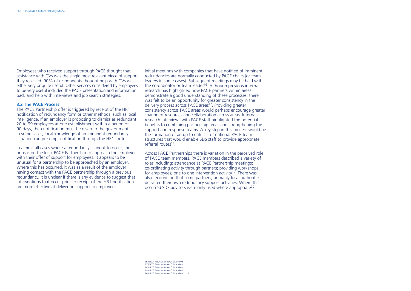Employees who received support through PACE thought that assistance with CVs was the single most relevant piece of support they received. 90% of respondents thought help with CVs was either very or quite useful. Other services considered by employees to be very useful included the PACE presentation and information pack and help with interviews and job search strategies.

#### **3.2 The PACE Process**

The PACE Partnership offer is triggered by receipt of the HR1 notification of redundancy form or other methods, such as local intelligence. If an employer is proposing to dismiss as redundant 20 to 99 employees at one establishment within a period of 90 days, then notification must be given to the government. In some cases, local knowledge of an imminent redundancy situation can pre-empt notification through the HR1 route.

In almost all cases where a redundancy is about to occur, the onus is on the local PACE Partnership to approach the employer with their offer of support for employees. It appears to be unusual for a partnership to be approached by an employer. Where this has occurred, it was as a result of the employer having contact with the PACE partnership through a previous redundancy. It is unclear if there is any evidence to suggest that interventions that occur prior to receipt of the HR1 notification are more effective at delivering support to employees.

Initial meetings with companies that have notified of imminent redundancies are normally conducted by PACE chairs (or team leaders in some cases). Subsequent meetings may be held with the co-ordinator or team leader<sup>16</sup>. Although previous internal research has highlighted how PACE partners within areas demonstrate a good understanding of these processes, there was felt to be an opportunity for greater consistency in the delivery process across PACE areas<sup>17</sup>. Providing greater consistency across PACE areas would perhaps encourage greater sharing of resources and collaboration across areas. Internal research interviews with PACE staff highlighted the potential benefits to combining partnership areas and strengthening the support and response teams. A key step in this process would be the formation of an up to date list of national PACE team structures that would enable SDS staff to provide appropriate referral routes<sup>18</sup>.

Across PACE Partnerships there is variation in the perceived role of PACE team members. PACE members described a variety of roles including: attendance at PACE Partnership meetings; co-ordinating activity through partners; providing workshops for employees; one to one intervention activity<sup>19</sup>. There was also recognition that some partners, primarily local authorities, delivered their own redundancy support activities. Where this occurred SDS advisors were only used where appropriate20.

 *PACE: Internal research interviews PACE: Internal research interviews PACE: Internal research interviews PACE: Internal research interviews PACE: Internal research interviews. p. 2*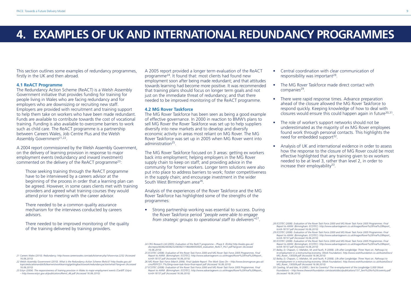# **4. EXAMPLES OF UK AND INTERNATIONAL REDUNDANCY PROGRAMMES**

This section outlines some examples of redundancy programmes, firstly in the UK and then abroad.

#### **4.1 ReACT Programme**

The Redundancy Action Scheme (ReACT) is a Welsh Assembly Government initiative that provides funding for training for people living in Wales who are facing redundancy and for employers who are downsizing or recruiting new staff. Employers are provided with recruitment and training support to help them take on workers who have been made redundant. Funds are available to contribute towards the cost of vocational training. Funding is also available to overcome barriers to work such as child care. The ReACT programme is a partnership between Careers Wales, Job Centre Plus and the Welsh Assembly Government<sup>21,22</sup>.

A 2004 report commissioned by the Welsh Assembly Government, on the delivery of learning provision in response to major employment events (redundancy and inward investment) commented on the delivery of the ReACT programme23:

Those seeking training through the ReACT programme have to be interviewed by a careers advisor at the beginning of the process in order that a learning plan can be agreed. However, in some cases clients met with training providers and agreed what training courses they would attend prior to meeting with the career advisor.

There needed to be a common quality assurance mechanism for the interviews conducted by careers advisors.

There needed to be improved monitoring of the quality of the training delivered by training providers.

A 2005 report provided a longer term evaluation of the ReACT programme24. It found that: most clients had found new employment soon after being made redundant; and that attitudes towards learning had become more positive. It was recommended that training plans should focus on longer term goals and not just on the immediate threat of redundancy; and that there needed to be improved monitoring of the ReACT programme.

#### **4.2 MG Rover Taskforce**

The MG Rover Taskforce has been seen as being a good example of effective governance. In 2000 in reaction to BMW's plans to sell MG Rover the Rover Taskforce was set up to help suppliers diversify into new markets and to develop and diversify economic activity in areas most reliant on MG Rover. The MG Rover Taskforce was set up in 2005 when MG Rover went into administration25.

The MG Rover Taskforce focused on 3 areas: getting ex workers back into employment; helping employers in the MG Rover supply chain to keep on staff; and providing advice in the community for former workers. Longer term solutions were also put into place to address barriers to work; foster competitiveness in the supply chain; and encourage investment in the wider South West Birmingham area26.

Analysis of the experiences of the Rover Taskforce and the MG Rover Taskforce has highlighted some of the strengths of the programmes:

• Strong partnership working was essential to success. During the Rover Taskforce period *"people were able to engage from strategic groups to operational staff to deliverers"*27.

- • Central coordination with clear communication of responsibility was important<sup>28</sup>.
- The MG Rover Taskforce made direct contact with companies<sup>29</sup>.
- There were rapid response times. Advance preparation ahead of the closure allowed the MG Rover Taskforce to respond quickly. Keeping knowledge of how to deal with closures would ensure this could happen again in future<sup>30,31</sup>.
- The role of worker's support networks should not be underestimated as the majority of ex MG Rover employees found work through personal contacts. This highlights the need for embedded support<sup>32</sup>.
- • Analysis of UK and international evidence in order to assess how the response to the closure of MG Rover could be most effective highlighted that any training given to ex workers needed to be at level 3, rather than level 2, in order to increase their employability $33$ .

*28 ECOTEC (2008). Evaluation of the Rover Task Force 2000 and MG Rover Task Force 2005 Programmes. Final Report to AWM. (Birmingham: ECOTEC). http://www.advantagewm.co.uk/Images/Rover%20Final%20Report\_ tcm9-18157.pdf (Accessed 16.06.2010)*

- *29 ECOTEC (2008). Evaluation of the Rover Task Force 2000 and MG Rover Task Force 2005 Programmes. Final Report to AWM. (Birmingham: ECOTEC). http://www.advantagewm.co.uk/Images/Rover%20Final%20Report\_ tcm9-18157.pdf (Accessed 16.06.2010)*
- *30 ECOTEC (2008). Evaluation of the Rover Task Force 2000 and MG Rover Task Force 2005 Programmes. Final Report to AWM. (Birmingham: ECOTEC). http://www.advantagewm.co.uk/Images/Rover%20Final%20Report\_ tcm9-18157.pdf (Accessed 16.06.2010)*
- *31 Bailey, D; Chapain, C; Mahdon, M; and Fauth, R (2008). Life after Longbridge: Three Years on. Pathways to re-employment in a restructuring economy. (Work Foundation). http://www.workfoundation.co.uk/Assets/Docs/ MG\_Rover\_130509.pdf (Accessed 16.06.2010)*
- *32 Bailey, D; Chapain, C; Mahdon, M; and Fauth, R (2008). Life after Longbridge: Three Years on. Pathways to re-employment in a restructuring economy. (Work Foundation). http://www.workfoundation.co.uk/Assets/Docs/ MG\_Rover\_130509.pdf (Accessed 16.06.2010)*
- *33 Cowling, M and Isles, N (2005 ). Sent to Coventry? The re-employment of the Longbridge 5,000 (Work Foundation) – http://www.theworkfoundation.com/assets/docs/publications/137\_Sent%20to%20coventry.pdf (Accessed 16.06.2010)*

*23 Estyn (2004). The responsiveness of training provision in Wales to major employment events (Cardiff: Estyn) – http://www.estyn.gov.uk/publications/Remit\_46.pdf (Accessed 16.06.2010)*

*<sup>24</sup> CRG Research Ltd (2005). Evaluation of the ReACT programme – Phase II. (ELWa) http://wales.gov.uk/ docrepos/40382/4038232/403821/196449/050505\_evaluation\_ReACT\_Pro1.pdf?lang=en (Accessed 16.06.2010)*

*<sup>25</sup> ECOTEC (2008). Evaluation of the Rover Task Force 2000 and MG Rover Task Force 2005 Programmes. Final Report to AWM. (Birmingham: ECOTEC). http://www.advantagewm.co.uk/Images/Rover%20Final%20Report\_ tcm9-18157.pdf (Accessed 16.06.2010)*

*<sup>26</sup> MG Rover Task Force (March 2006). Final Update Report: The Work Goes On – http://www.bromsgrove.gov.uk/ cms/PDF/CD1.7%20mg-rover-task-force-final-report.pdf (Accessed 16.06.2010)*

*<sup>27</sup> ECOTEC (2008). Evaluation of the Rover Task Force 2000 and MG Rover Task Force 2005 Programmes. Final Report to AWM. (Birmingham: ECOTEC). http://www.advantagewm.co.uk/Images/Rover%20Final%20Report\_ tcm9-18157.pdf (Accessed 16.06.2010)*

*<sup>21</sup> Careers Wales (2010). Redundancy. http://www.careerswales.com/adults/server.php?show=nav.2252 (Accessed 16.06.2010) 22 Welsh Assembly Government (2010). What is the Redundancy Action Scheme (ReAct)? http://wales.gov.uk/*

*topics/educationandskills/learners/worklearning/gettingbacktowork/redundancyaction/what/?lang=en (Accessed 16.06.2010)*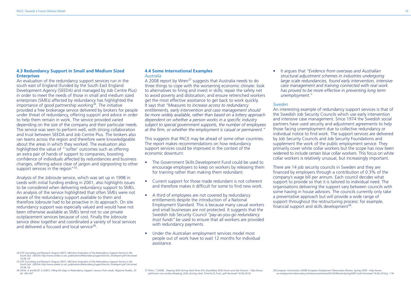# **4.3 Redundancy Support in Small and Medium Sized Enterprises**

An evaluation of the redundancy support services run in the south east of England (funded by the South East England Development Agency (SEEDA) and managed by Job Centre Plus) in order to meet the needs of those in small and medium sized enterprises (SMEs) affected by redundancy has highlighted the importance of good partnership working<sup>34</sup>. The initiative provided a free brokerage service delivered by brokers for people under threat of redundancy, offering support and advice in order to help them remain in work. The service provided varied depending on the size of the company and their particular needs. The service was seen to perform well, with strong collaboration and trust between SEEDA and Job Centre Plus. The brokers also ran teams across the region and therefore were knowledgeable about the areas in which they worked. The evaluation also highlighted the value of "'softer' outcomes such as offering an extra pair of hands of support to companies, boosting confidence of individuals affected by redundancies and business changes, offering advice clear of jargon and signposting to other support services in the region"<sup>35</sup>.

Analysis of the Jobroute service, which was set up in 1998 in Leeds with initial funding ending in 2001, also highlights issues to be considered when delivering redundancy support to SMEs. An analysis of the service highlighted that often SMEs were not aware of the redundancy support available to them and therefore Jobroute had to be proactive in its approach. On site redundancy support was especially valued and would have not been otherwise available as SMEs tend not to use private outplacement services because of cost. Finally the Jobroute service drew together and coordinated a variety of local services and delivered a focused and local service<sup>36</sup>.

#### *34 DTZ Consulting and Research (August 2007). Mid-term Evaluation of the Redundancy Support Service in the South East. (SEEDA) http://www.seeda.co.uk/\_publications/RedundancySupportService\_finalreport.pdf (Accessed 16.06.10)*

#### **4.4 Some International Examples** *Australia*

A 2008 report by Wren<sup>37</sup> suggests that Australia needs to do three things to cope with the worsening economic climate: look to alternatives to firing and invest in skills; repair the safety net to avoid poverty and dislocation; and ensure retrenched workers get the most effective assistance to get back to work quickly. It says that *"Measures to increase access to redundancy entitlements, early intervention and case management should be more widely available, rather than based on a lottery approach dependent on whether a person works in a specific industry subject to special government supports, the number of employees at the firm, or whether the employment is casual or permanent."*

This suggests that PACE may be ahead of some other countries. The report makes recommendations on how redundancy support services could be improved in the context of the economic downturn:

- The Government Skills Development Fund could be used to encourage employers to keep on workers by releasing them for training rather than making them redundant.
- Current support for those made redundant is not coherent and therefore makes it difficult for some to find new work.
- A third of employees are not covered by redundancy entitlements despite the introduction of a National Employment Standard. This is because many casual workers and small businesses are not protected. It suggests that the Swedish Job Security Council *"pay-as-you-go redundancy trust funds"* be used to ensure that all workers are provided with redundancy payments.
- Under the Australian employment services model most people out of work have to wait 12 months for individual assistance.

• It argues that *"Evidence from overseas and Australian structural adjustment schemes in industries undergoing large scale redundancies, found early intervention, intensive case management and training connected with real work has proved to be more effective in preventing long term unemployment."*

# *Sweden*

An interesting example of redundancy support services is that of the Swedish Job Security Councils which use early intervention and intensive case management. Since 1974 the Swedish social partners have used security and adjustment agreements to help those facing unemployment due to collective redundancy or individual notice to find work. The support services are delivered by Job Security Councils and Job Security Foundations and supplement the work of the public employment service. They primarily cover white collar workers but the scope has now been widened to include certain blue collar workers. This focus on white collar workers is relatively unusual, but increasingly important.

There are 14 job security councils in Sweden and they are financed by employers through a contribution of 0.3% of the company's wage bill per annum. Each council decides what support to provide so that it is tailored to individual need. The organisations delivering the support vary between councils with some having in house advisors. The councils currently only take a preventative approach but will provide a wide range of support throughout the restructuring process: for example, financial support and skills development<sup>38</sup>.

*<sup>35</sup> DTZ Consulting and Research (August 2007). Mid-term Evaluation of the Redundancy Support Service in the South East. (SEEDA) http://www.seeda.co.uk/\_publications/RedundancySupportService\_finalreport.pdf (Accessed 16.06.10)*

*<sup>36</sup> While, A and Bruff, G (2001). Filling the Gaps in Redundancy Support: Lessons from Leeds. Regional Studies, 35 (4): 363-367* 

*<sup>37</sup> Wren, T (2008). Keeping Skills During Hard Times (For Dusseldorp Skills Forum and Job Futures) – http://www. jobfutures.com.au/docs/Keeping\_Skills\_During\_Hard\_Times%20\_Final\_.pdf (Accessed 18.06.2010)*

*<sup>38</sup> European Commission (2009) European Employment Observatory Review: Spring 2009 – http://www. eu-employment-observatory.net/resources/reviews/EN-EEOReviewSpring2009-3.pdf (Accessed 18.06.2010) p. 118-*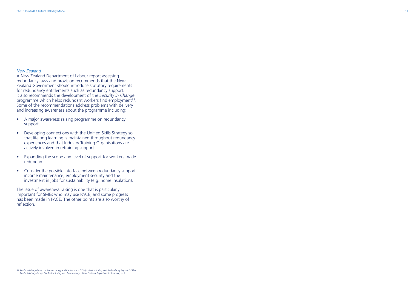# *New Zealand*

A New Zealand Department of Labour report assessing redundancy laws and provision recommends that the New Zealand Government should introduce statutory requirements for redundancy entitlements such as redundancy support. It also recommends the development of the *Security in Change* programme which helps redundant workers find employment<sup>39</sup>. Some of the recommendations address problems with delivery and increasing awareness about the programme including:

- A major awareness raising programme on redundancy support.
- • Developing connections with the Unified Skills Strategy so that lifelong learning is maintained throughout redundancy experiences and that Industry Training Organisations are actively involved in retraining support.
- Expanding the scope and level of support for workers made redundant.
- Consider the possible interface between redundancy support, income maintenance, employment security and the investment in jobs for sustainability (e.g. home insulation).

The issue of awareness raising is one that is particularly important for SMEs who may use PACE, and some progress has been made in PACE. The other points are also worthy of reflection.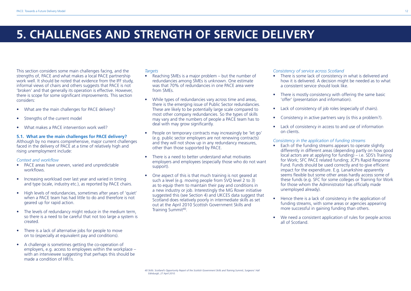# **5. CHALLENGES AND STRENGTH OF SERVICE DELIVERY**

This section considers some main challenges facing, and the strengths of, PACE and what makes a local PACE partnership work well. It should be noted that evidence from the IFF study, informal views of chairs and others suggests that PACE is not 'broken' and that generally its operation is effective. However, there is scope for some significant improvements. This section considers:

- What are the main challenges for PACE delivery?
- Strengths of the current model
- What makes a PACE intervention work well?

## **5.1. What are the main challenges for PACE delivery?**

Although by no means comprehensive, major current challenges faced in the delivery of PACE at a time of relatively high and rising unemployment include:

### *Context and workflow*

- PACE areas have uneven, varied and unpredictable workflows.
- Increasing workload over last year and varied in timing and type (scale, industry etc.), as reported by PACE chairs.
- High levels of redundancies, sometimes after years of 'quiet' when a PACE team has had little to do and therefore is not geared up for rapid action.
- The levels of redundancy might reduce in the medium term, so there is a need to be careful that not too large a system is created.
- There is a lack of alternative jobs for people to move on to (especially at equivalent pay and conditions).
- • A challenge is sometimes getting the co-operation of employers, e.g. access to employees within the workplace – with an interviewee suggesting that perhaps this should be made a condition of HR1s.

# *Targets*

*Edinburgh, 27 April 2010.*

- Reaching SMEs is a major problem but the number of redundancies among SMEs is unknown. One estimate was that 70% of redundancies in one PACE area were from SMEs.
- While types of redundancies vary across time and areas, there is the emerging issue of Public Sector redundancies. These are likely to be potentially large scale compared to most other company redundancies. So the types of skills may vary and the numbers of people a PACE team has to deal with may grow significantly.
- People on temporary contracts may increasingly be 'let go' (e.g. public sector employers are not renewing contracts) and they will not show up in any redundancy measures, other than those supported by PACE.
- There is a need to better understand what motivates employers and employees (especially those who do not want support).
- One aspect of this is that much training is not geared at such a level (e.g. moving people from SVQ level 2 to 3) as to equip them to maintain their pay and conditions in a new industry or job. Interestingly the MG Rover initiative suggested this (see Section 4) and UKCES data suggest that Scotland does relatively poorly in intermediate skills as set out at the April 2010 Scottish Government Skills and Training Summit<sup>40</sup>.

# *Consistency of service across Scotland*

- There is some lack of consistency in what is delivered and how it is delivered. A decision might be needed as to what a consistent service should look like.
- There is mostly consistency with offering the same basic 'offer' (presentation and information).
- Lack of consistency of job roles (especially of chairs).
- Consistency in active partners vary (is this a problem?).
- Lack of consistency in access to and use of information on clients.

# *Consistency in the application of funding streams*

- Each of the funding streams appears to operate slightly differently in different areas (depending partly on how good local actors are at applying for funding) – i.e. SDS's Training for Work; SFC PACE related funding; JCP's Rapid Response Fund. Funds should be used correctly and to give efficient impact for the expenditure. E.g. Lanarkshire apparently seems flexible but some other areas hardly access some of these funds (e.g. SFC for some colleges or Training for Work for those whom the Administrator has officially made unemployed already).
- Hence there is a lack of consistency in the application of funding streams, with some areas or agencies appearing more successful in gaining funding than others.
- We need a consistent application of rules for people across all of Scotland.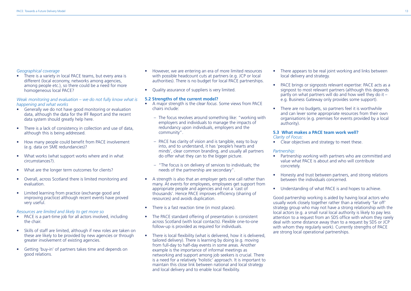# *Geographical coverage*

• There is a variety in local PACE teams, but every area is different (local economy, networks among agencies, among people etc.), so there could be a need for more homogeneous local PACE?

# *Weak monitoring and evaluation – we do not fully know what is happening and what works*

- • Generally we do not have good monitoring or evaluation data, although the data for the IFF Report and the recent data system should greatly help here.
- There is a lack of consistency in collection and use of data, although this is being addressed.
- How many people could benefit from PACE involvement (e.g. data on SME redundancies)?
- What works (what support works where and in what circumstances?).
- What are the longer term outcomes for clients?
- • Overall, across Scotland there is limited monitoring and evaluation.
- Limited learning from practice (exchange good and improving practice) although recent events have proved very useful.

*Resources are limited and likely to get more so* 

- PACE is a part-time job for all actors involved, including the chair.
- Skills of staff are limited, although if new roles are taken on these are likely to be provided by new agencies or through greater involvement of existing agencies.
- • Getting 'buy-in' of partners takes time and depends on good relations.
- However, we are entering an era of more limited resources with possible headcount cuts at partners (e.g. JCP or local authorities). There is no budget for local PACE partnerships.
- Ouality assurance of suppliers is very limited.

#### **5.2 Strengths of the current model?**

- • A major strength is the *clear focus*. Some views from PACE chairs include:
	- The focus revolves around something like: "working with employers and individuals to manage the impacts of redundancy upon individuals, employers and the community".
	- PACE has clarity of vision and is tangible, easy to buy into, and to understand, it has 'people's hearts and minds', clear common branding, and usually all partners do offer what they can to the bigger picture.
	- – "The focus is on delivery of services to individuals; the needs of the partnership are secondary".
- A strength is also that an employer gets one call rather than many. At events for employees, employees get support from appropriate people and agencies and not a 'cast of thousands'. Hence PACE improves efficiency (sharing of resources) and avoids duplication.
- There is a fast reaction time (in most places).
- The PACE standard offering of presentation is consistent across Scotland (with local contacts). Flexible one-to-one follow-up is provided as required for individuals.
- There is local flexibility (what is delivered, how it is delivered, tailored delivery). There is learning by doing (e.g. moving from full-day to half-day events in some areas. Another example is the importance of informal meetings as networking and support among job seekers is crucial. There is a need for a relatively 'holistic' approach. It is important to maintain this close link between national and local strategy and local delivery and to enable local flexibility.
- There appears to be real joint working and links between local delivery and strategy.
- PACE brings or signposts relevant expertise: PACE acts as a signpost to most relevant partners (although this depends partly on what partners will do and how well they do it – e.g. Business Gateway only provides some support).
- There are no budgets, so partners feel it is worthwhile and can lever some appropriate resources from their own organisations (e.g. premises for events provided by a local authority).

## **5.3 What makes a PACE team work well?**

*Clarity of Focus:*

• Clear objectives and strategy to meet these.

### *Partnership:*

- Partnership working with partners who are committed and value what PACE is about and who will contribute concretely.
- Honesty and trust between partners, and strong relations between the individuals concerned.
- Understanding of what PACE is and hopes to achieve.

Good partnership working is aided by having local actors who usually work closely together rather than a relatively 'far off' strategy group who may not have a strong relationship with the local actors (e.g. a small rural local authority is likely to pay less attention to a request from an SDS office with whom they rarely deal with some distance away than to a request by SDS or JCP with whom they regularly work). Currently strengths of PACE are strong local operational partnerships.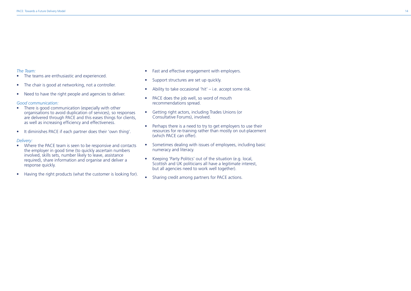# *The Team:*

- The teams are enthusiastic and experienced.
- The chair is good at networking, not a controller.
- Need to have the right people and agencies to deliver.

### *Good communication:*

- There is good communication (especially with other organisations to avoid duplication of services), so responses are delivered through PACE and this eases things for clients, as well as increasing efficiency and effectiveness.
- • It diminishes PACE if each partner does their 'own thing'.

### *Delivery:*

- Where the PACE team is seen to be responsive and contacts the employer in good time (to quickly ascertain numbers involved, skills sets, number likely to leave, assistance required), share information and organise and deliver a response quickly.
- Having the right products (what the customer is looking for).
- Fast and effective engagement with employers.
- Support structures are set up quickly.
- Ability to take occasional 'hit' i.e. accept some risk.
- PACE does the job well, so word of mouth recommendations spread.
- • Getting right actors, including Trades Unions (or Consultative Forums), involved.
- Perhaps there is a need to try to get employers to use their resources for re-training rather than mostly on out-placement (which PACE can offer).
- Sometimes dealing with issues of employees, including basic numeracy and literacy.
- Keeping 'Party Politics' out of the situation (e.g. local, Scottish and UK politicians all have a legitimate interest, but all agencies need to work well together).
- Sharing credit among partners for PACE actions.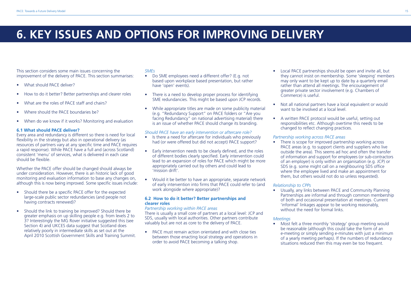# **6. KEY ISSUES AND OPTIONS FOR IMPROVING DELIVERY**

This section considers some main issues concerning the improvement of the delivery of PACE. This section summarises:

- What should PACE deliver?
- How to do it better? Better partnerships and clearer roles
- What are the roles of PACE staff and chairs?
- Where should the PACE boundaries be?
- When do we know if it works? Monitoring and evaluation

# **6.1 What should PACE deliver?**

Every area and redundancy is different so there is need for local flexibility in the strategy but also in operational delivery (as resources of partners vary at any specific time and PACE requires a rapid response). While PACE have a full and (across Scotland) consistent 'menu' of services, what is delivered in each case should be flexible.

Whether the PACE offer should be changed should always be under consideration. However, there is an historic lack of good monitoring and evaluation information to base any changes on, although this is now being improved. Some specific issues include:

- Should there be a specific PACE offer for the expected large-scale public sector redundancies (and people not having contracts renewed)?
- Should the link to training be improved? Should there be greater emphasis on up skilling people e.g. from levels 2 to 3? Interestingly the MG Rover initiative suggested this (see Section 4) and UKCES data suggest that Scotland does relatively poorly in intermediate skills as set out at the April 2010 Scottish Government Skills and Training Summit.

# *SMEs*

- Do SME employees need a different offer? (E.g. not based upon workplace based presentation, but rather have 'open' events).
- There is a need to develop proper process for identifying SME redundancies. This might be based upon JCP records.
- While appropriate titles are made on some publicity material (e.g. "Redundancy Support" on PACE folders or "Are you facing Redundancy" on national advertising material) there is an issue of whether PACE should change its branding.

# *Should PACE have an early intervention or aftercare role?*

- Is there a need for aftercare for individuals who previously had (or were offered but did not accept) PACE support?
- Early intervention needs to be clearly defined, and the roles of different bodies clearly specified. Early intervention could lead to an expansion of roles for PACE which might be more appropriately carried out by others and could lead to 'mission drift'.
- Would it be better to have an appropriate, separate network of early intervention into firms that PACE could refer to (and work alongside where appropriate)?

# **6.2 How to do it better? Better partnerships and clearer roles**

#### *Partnership working within PACE areas*

There is usually a small core of partners at a local level: JCP and SDS, usually with local authorities. Other partners contribute valuably but are not as core to the delivery of PACE.

• PACE must remain action orientated and with close ties between those enacting local strategy and operations in order to avoid PACE becoming a talking shop.

- Local PACE partnerships should be open and invite all, but they cannot insist on membership. Some 'sleeping' members may only want to be kept up to date by a quarterly email rather than attend all meetings. The encouragement of greater private sector involvement (e.g. Chambers of Commerce) is useful.
- Not all national partners have a local equivalent or would want to be involved at a local level.
- A written PACE protocol would be useful, setting out responsibilities etc. Although overtime this needs to be changed to reflect changing practices.

# *Partnership working across PACE areas*

There is scope for improved partnership working across PACE areas (e.g. to support clients and suppliers who live outside the area). This seems ad hoc and often the transfer of information and support for employees (or sub-contractors of an employer) is only within an organisation (e.g. JCP) or SDS (e.g. some might call on a neighbouring SDS office where the employee lived and make an appointment for them, but others would not do so unless requested).

# *Relationship to CPPs*

• Usually, any links between PACE and Community Planning Partnerships are informal and through common membership of both and occasional presentation at meetings. Current 'informal' linkages appear to be working reasonably, without the need for formal links.

# *Meetings*

• Most felt a three monthly 'strategy' group meeting would be reasonable (although this could take the form of an e-meeting or simply sending e-minutes with just a minimum of a yearly meeting perhaps). If the numbers of redundancy situations reduced then this may even be too frequent.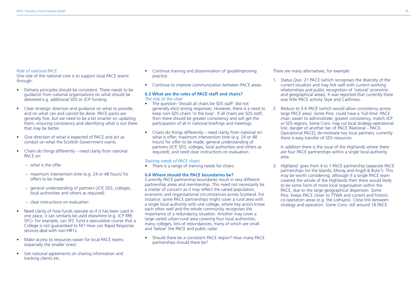# *Role of national PACE*

One role of the national core is to support local PACE teams through:

- Delivery principles should be consistent. There needs to be guidance from national organisations on what should be delivered e.g. additional SDS or JCP funding.
- Clear strategic direction and guidance on what to provide; and on what can and cannot be done. PACE packs are generally fine, but we need to be a bit smarter on updating them, ensuring consistency and identifying what is out there that may be better.
- Give direction of what is expected of PACE and act as conduit on what the Scottish Government wants.
- Chairs do things differently need clarity from national PACE on:
	- $-$  what is the offer
	- $-$  maximum intervention time (e.g. 24 or 48 hours) for offers to be made
	- general understanding of partners (JCP, SDS, colleges, local authorities and others as required)
	- – clear instructions on evaluation
- Need clarity of how funds operate so if it has been used in one place, it can similarly be used elsewhere (e.g. JCP RRF, SFC). For example, can SFC fund a speculative course that a College is not guaranteed to fill? How can Rapid Response services deal with non-HR1s.
- Make access to resources easier for local PACE teams (especially the smaller ones).
- • Get national agreements on sharing information and tracking clients etc.
- Continue training and dissemination of good/improving practice.
- Continue to improve communication between PACE areas.

### **6.3 What are the roles of PACE staff and chairs?** *The role of the chair*

- The question 'should all chairs be SDS staff' did not generally elicit strong responses. However, there is a need to keep non-SDS chairs 'in the loop'. If all chairs are SDS staff, then there should be greater consistency and will get the participation of all in national briefings and meetings.
- Chairs do things differently need clarity from national on: what is offer; maximum intervention time (e.g. 24 or 48 hours) for offer to be made; general understanding of partners (JCP, SDS, colleges, local authorities and others as required); and need clear instructions on evaluation.

### *Training needs of PACE chairs*

• There is a range of training needs for chairs.

# **6.4 Where should the PACE boundaries be?**

Currently PACE partnership boundaries result in very different partnership areas and membership. This need not necessarily be a matter of concern as it may reflect the varied population, economic and organisational circumstances across Scotland. For instance: some PACE partnerships might cover a rural area with a single local authority with one college, where key actors know each other well and the whole community recognises the importance of a redundancy situation. Another may cover a large varied urban-rural area covering four local authorities, many colleges, lots of redundancies, many of which are small and 'below' the PACE and public radar.

• Should there be a consistent PACE region? How many PACE partnerships should there be?

There are many alternatives, for example:

- 1. *Status Quo:* 21 PACE (which recognises the diversity of the current situation and may link well with current working relationships and public recognition of 'natural' economic and geographical areas). It was reported that currently there was little PACE activity Skye and Caithness.
- 2. *Reduce to 5-6 PACE* (which would allow consistency across large PACE area). Some Pros: could have a 'full-time' PACE chair; easier to administrate; greater consistency; match JCP *or* SDS regions. Some Cons: may cut local strategy-operational link; danger of another tier of PACE (National – PACE-Operational PACE); de-motivate key local partners; currently there is easy transfer of SDS resources

 In addition there is the issue of the Highlands where there are four PACE partnerships within a single local authority area.

3. *Highland:* goes from 4 to 1 PACE partnership (separate PACE partnerships for the Islands, Moray and Argyll & Bute?). This may be worth considering, although if a single PACE team covered the whole of the Highlands then there would likely to be some form of more local organisation within the PACE, due to the large geographical dispersion. Some Pros: keeps PACE closer to TTWA and current and historic co-operation areas (e.g. the Lothians). Close link between strategy and operation. Some Cons: still around 18 PACE.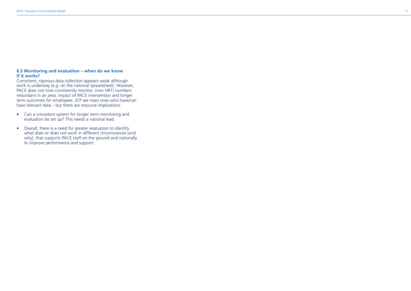# **6.5 Monitoring and evaluation – when do we know if it works?**

Consistent, rigorous data collection appears weak although work is underway (e.g. on the national spreadsheet). However, PACE does not now consistently monitor: (non HR1) numbers redundant in an area; impact of PACE intervention and longer term outcomes for employees. JCP are main ones who have/can have relevant data – but there are resource implications.

- Can a consistent system for longer term monitoring and evaluation be set up? This needs a national lead.
- Overall, there is a need for greater evaluation to identify what does or does not work in different circumstances (and why), that supports PACE staff on the ground and nationally to improve performance and support.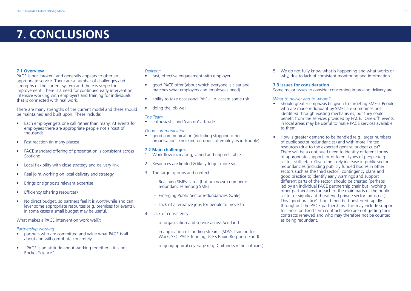# **7. CONCLUSIONS**

# **7.1 Overview**

PACE is not 'broken' and generally appears to offer an appropriate service. There are a number of challenges and strengths of the current system and there is scope for improvement. There is a need for continued early intervention. intensive working with employers and training for individuals that is connected with real work.

There are many strengths of the current model and these should be maintained and built upon. These include:

- Each employer gets one call rather than many. At events for employees there are appropriate people not a 'cast of thousands'
- Fast reaction (in many places)
- PACE standard offering of presentation is consistent across Scotland
- Local flexibility with close strategy and delivery link
- Real joint working on local delivery and strategy
- Brings or signposts relevant expertise
- **Efficiency (sharing resources)**
- No direct budget, so partners feel it is worthwhile and can lever some appropriate resources (e.g. premises for events). In some cases a small budget may be useful.

What makes a PACE intervention work well?

#### *Partnership working*

- partners who are committed and value what PACE is all about and will contribute concretely
- • "PACE is an attitude about working together it is not Rocket Science"

# *Delivery:*

- fast, effective engagement with employer
- good PACE offer (about which everyone is clear and matches what employers and employees need)
- $\bullet$  ability to take occasional 'hit' i.e. accept some risk
- doing the job well

#### *The Team*

• enthusiastic and 'can do' attitude

#### *Good communication*

• good communication (including stopping other organisations knocking on doors of employers in trouble).

### **7.2 Main challenges**

- 1. Work flow increasing, varied and unpredictable
- 2. Resources are limited & likely to get more so
- 3. The target groups and context
	- – Reaching SMEs: large (but unknown) number of redundancies among SMEs
	- – Emerging Public Sector redundancies (scale)
	- Lack of alternative jobs for people to move to
- 4. Lack of consistency:
	- of organisation and service across Scotland
	- in application of funding streams (SDS's Training for Work; SFC PACE funding; JCP's Rapid Response Fund)
	- $-$  of geographical coverage (e.g. Caithness v the Lothians)

5. We do not fully know what is happening and what works or why, due to lack of consistent monitoring and information.

# **7.3 Issues for consideration**

Some major issues to consider concerning improving delivery are:

#### *What to deliver and to whom?*

- Should greater emphasis be given to targeting SMEs? People who are made redundant by SMEs are sometimes not identified through existing mechanisms, but they could benefit from the services provided by PACE. 'One-off' events in local areas may be useful to make PACE services available to them.
- How is greater demand to be handled (e.g. larger numbers of public sector redundancies) and with more limited resources (due to the expected general budget cuts)? There will be a continued need to identify different forms of appropriate support for different types of people (e.g. sector, skills etc.). Given the likely increase in public sector redundancies (including publicly funded bodies in other sectors such as the third sector), contingency plans and good practice to identify early warnings and support different parts of the sector, should be created (perhaps) led by an individual PACE partnership chair but involving other partnerships for each of the main parts of the public sector or significant threatened private sector industries). This 'good practice' should then be transferred rapidly throughout the PACE partnerships. This may include support for those on fixed term contracts who are not getting their contracts renewed and who may therefore not be counted as being redundant.